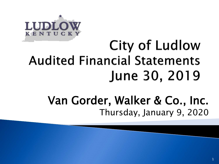

## **City of Ludlow Audited Financial Statements** June 30, 2019

### Van Gorder, Walker & Co., Inc. Thursday, January 9, 2020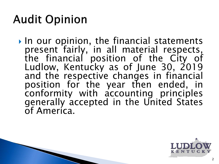## **Audit Opinion**

In our opinion, the financial statements<br>present fairly, in all material respects, present fairly, in all material respects,<br>the financial position of the City of Ludlow, Kentucky as of June 30, 2019 and the respective changes in financial position for the year then ended, in conformity with accounting principles generally accepted in the United States of America.

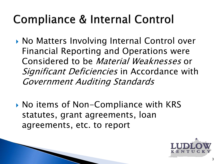## **Compliance & Internal Control**

- ▶ No Matters Involving Internal Control over Financial Reporting and Operations were Considered to be Material Weaknesses or Significant Deficiencies in Accordance with Government Auditing Standards
- ▶ No items of Non-Compliance with KRS statutes, grant agreements, loan agreements, etc. to report

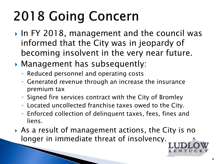# **2018 Going Concern**

- ▶ In FY 2018, management and the council was informed that the City was in jeopardy of becoming insolvent in the very near future.
- Management has subsequently:
	- Reduced personnel and operating costs
	- Generated revenue through an increase the insurance premium tax
	- Signed fire services contract with the City of Bromley
	- Located uncollected franchise taxes owed to the City.
	- Enforced collection of delinquent taxes, fees, fines and liens.
- As a result of management actions, the City is no longer in immediate threat of insolvency.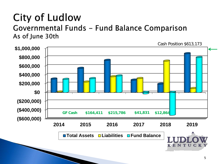### **City of Ludlow** Governmental Funds - Fund Balance Comparison As of June 30th

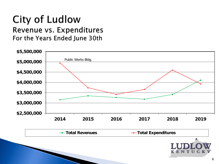#### **City of Ludlow** Revenue vs. Expenditures For the Years Ended June 30th



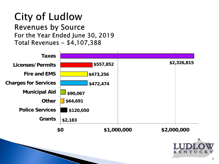#### **City of Ludlow Revenues by Source** For the Year Ended June 30, 2019

Total Revenues - \$4,107,388

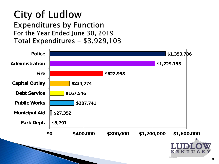#### **City of Ludlow Expenditures by Function** For the Year Ended June 30, 2019 Total Expenditures - \$3,929,103

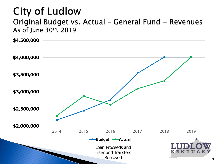## **City of Ludlow**

#### Original Budget vs. Actual - General Fund - Revenues As of June 30th, 2019